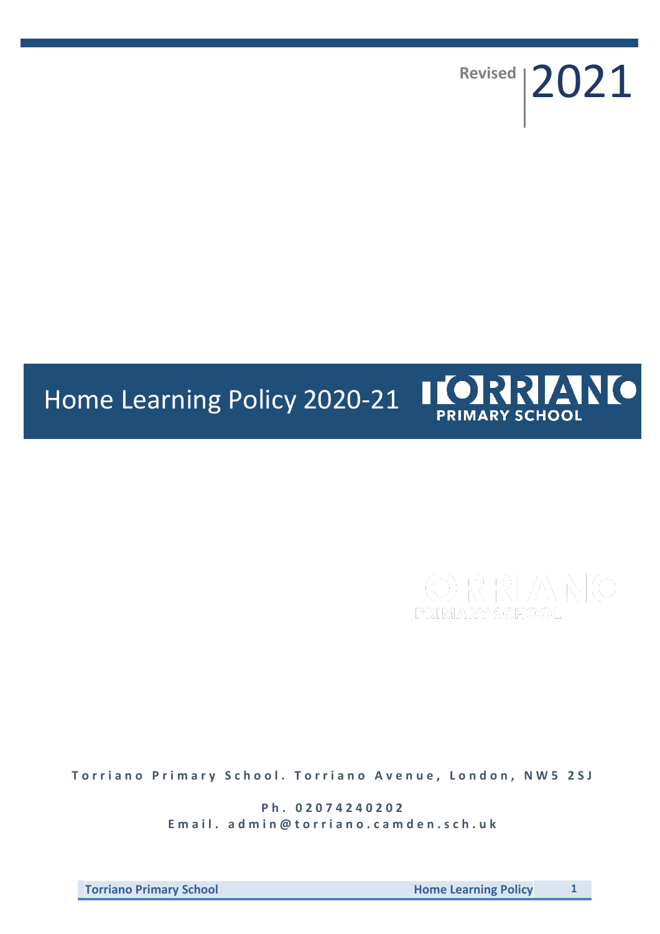**Revised** 2021

# IORRANO Home Learning Policy 2020-21 **PRIMARY SCHOOL**

**Torriano Primary School. Torriano Avenue, London, NW5 2SJ** 

**P h . 0 2 0 7 4 2 4 0 2 0 2** Email. admin@torriano.camden.sch.uk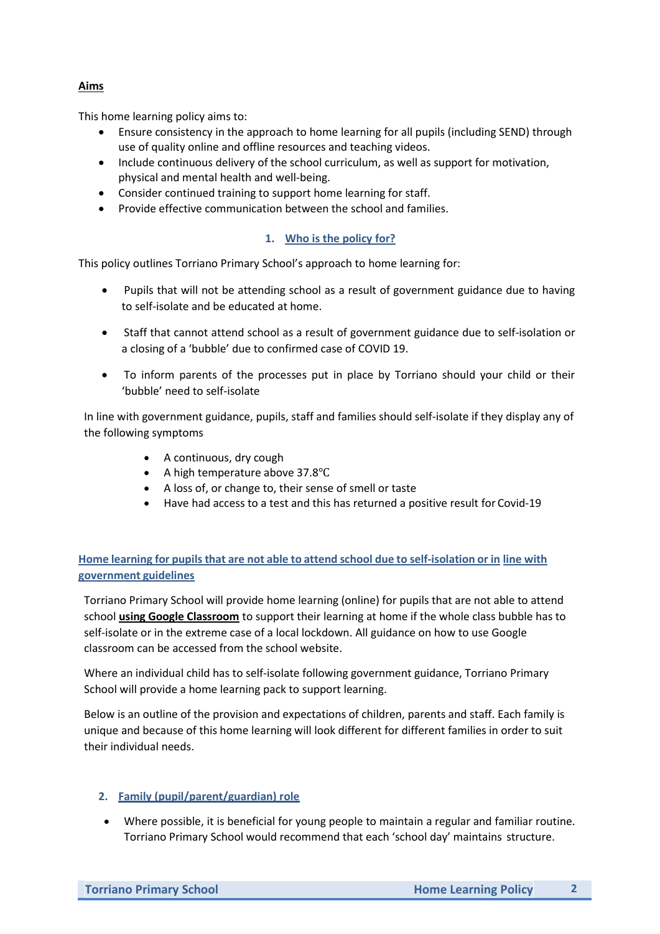### **Aims**

This home learning policy aims to:

- Ensure consistency in the approach to home learning for all pupils (including SEND) through use of quality online and offline resources and teaching videos.
- Include continuous delivery of the school curriculum, as well as support for motivation, physical and mental health and well-being.
- Consider continued training to support home learning for staff.
- Provide effective communication between the school and families.

### **1. Who is the policy for?**

This policy outlines Torriano Primary School's approach to home learning for:

- Pupils that will not be attending school as a result of government guidance due to having to self-isolate and be educated at home.
- Staff that cannot attend school as a result of government guidance due to self-isolation or a closing of a 'bubble' due to confirmed case of COVID 19.
- To inform parents of the processes put in place by Torriano should your child or their 'bubble' need to self-isolate

In line with government guidance, pupils, staff and families should self-isolate if they display any of the following symptoms

- A continuous, dry cough
- A high temperature above 37.8℃
- A loss of, or change to, their sense of smell or taste
- Have had access to a test and this has returned a positive result for Covid-19

### **Home learning for pupilsthat are not able to attend school due to self-isolation or in line with government guidelines**

Torriano Primary School will provide home learning (online) for pupils that are not able to attend school **using Google Classroom** to support their learning at home if the whole class bubble has to self-isolate or in the extreme case of a local lockdown. All guidance on how to use Google classroom can be accessed from the school website.

Where an individual child has to self-isolate following government guidance, Torriano Primary School will provide a home learning pack to support learning.

Below is an outline of the provision and expectations of children, parents and staff. Each family is unique and because of this home learning will look different for different families in order to suit their individual needs.

#### **2. Family (pupil/parent/guardian) role**

 Where possible, it is beneficial for young people to maintain a regular and familiar routine. Torriano Primary School would recommend that each 'school day' maintains structure.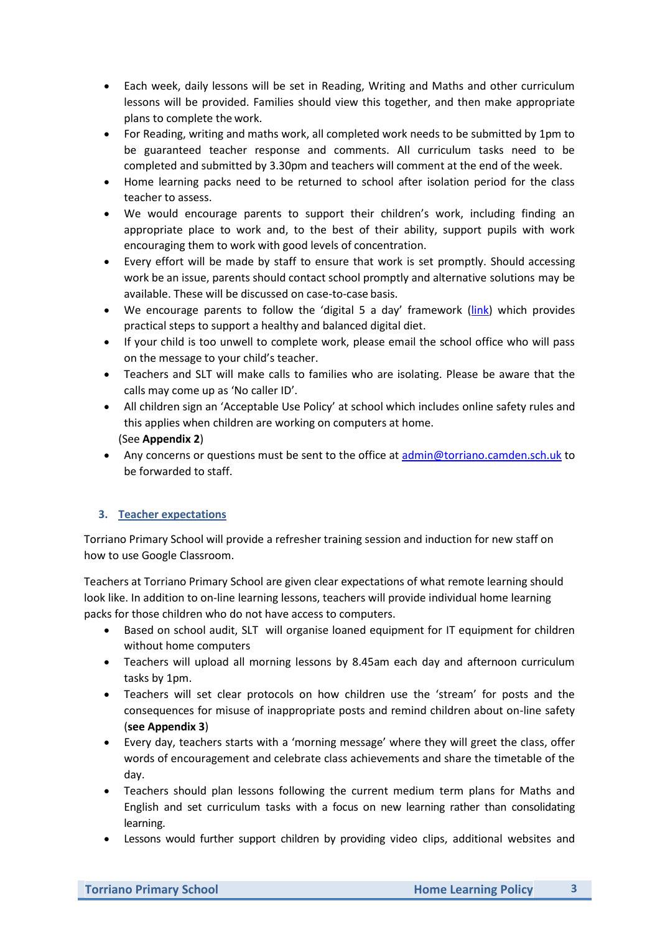- Each week, daily lessons will be set in Reading, Writing and Maths and other curriculum lessons will be provided. Families should view this together, and then make appropriate plans to complete the work.
- For Reading, writing and maths work, all completed work needs to be submitted by 1pm to be guaranteed teacher response and comments. All curriculum tasks need to be completed and submitted by 3.30pm and teachers will comment at the end of the week.
- Home learning packs need to be returned to school after isolation period for the class teacher to assess.
- We would encourage parents to support their children's work, including finding an appropriate place to work and, to the best of their ability, support pupils with work encouraging them to work with good levels of concentration.
- Every effort will be made by staff to ensure that work is set promptly. Should accessing work be an issue, parents should contact school promptly and alternative solutions may be available. These will be discussed on case-to-case basis.
- We encourage parents to follow the 'digital 5 a day' framework [\(link\)](https://www.childrenscommissioner.gov.uk/digital/5-a-day/) which provides practical steps to support a healthy and balanced digital diet.
- If your child is too unwell to complete work, please email the school office who will pass on the message to your child's teacher.
- Teachers and SLT will make calls to families who are isolating. Please be aware that the calls may come up as 'No caller ID'.
- All children sign an 'Acceptable Use Policy' at school which includes online safety rules and this applies when children are working on computers at home. (See **Appendix 2**)
- Any concerns or questions must be sent to the office a[t admin@torriano.camden.sch.uk](mailto:admin@torriano.camden.sch.uk) to be forwarded to staff.

### **3. Teacher expectations**

Torriano Primary School will provide a refresher training session and induction for new staff on how to use Google Classroom.

Teachers at Torriano Primary School are given clear expectations of what remote learning should look like. In addition to on-line learning lessons, teachers will provide individual home learning packs for those children who do not have access to computers.

- Based on school audit, SLT will organise loaned equipment for IT equipment for children without home computers
- Teachers will upload all morning lessons by 8.45am each day and afternoon curriculum tasks by 1pm.
- Teachers will set clear protocols on how children use the 'stream' for posts and the consequences for misuse of inappropriate posts and remind children about on-line safety (**see Appendix 3**)
- Every day, teachers starts with a 'morning message' where they will greet the class, offer words of encouragement and celebrate class achievements and share the timetable of the day.
- Teachers should plan lessons following the current medium term plans for Maths and English and set curriculum tasks with a focus on new learning rather than consolidating learning.
- Lessons would further support children by providing video clips, additional websites and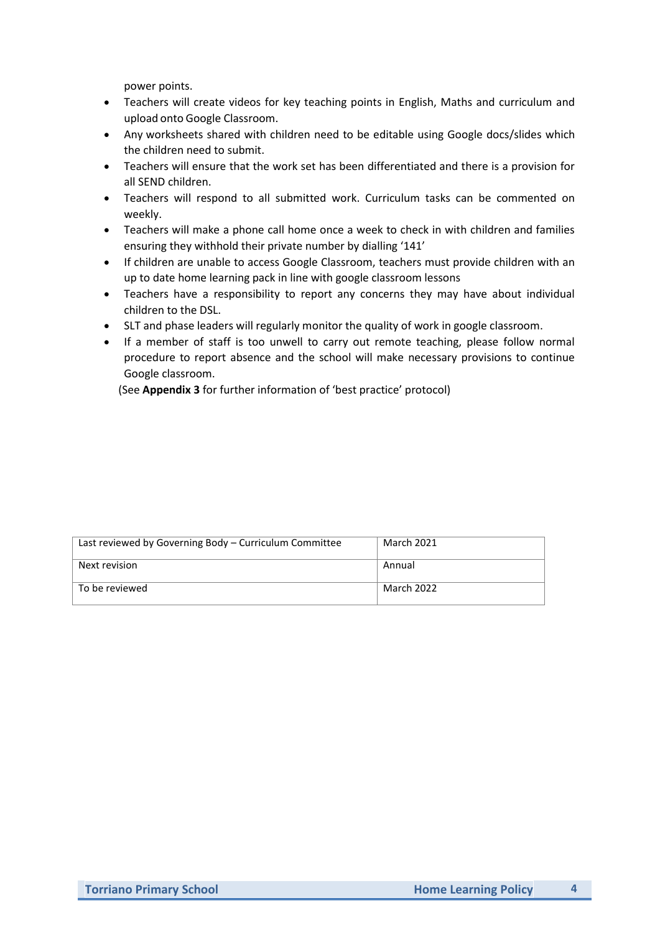power points.

- Teachers will create videos for key teaching points in English, Maths and curriculum and upload onto Google Classroom.
- Any worksheets shared with children need to be editable using Google docs/slides which the children need to submit.
- Teachers will ensure that the work set has been differentiated and there is a provision for all SEND children.
- Teachers will respond to all submitted work. Curriculum tasks can be commented on weekly.
- Teachers will make a phone call home once a week to check in with children and families ensuring they withhold their private number by dialling '141'
- If children are unable to access Google Classroom, teachers must provide children with an up to date home learning pack in line with google classroom lessons
- Teachers have a responsibility to report any concerns they may have about individual children to the DSL.
- SLT and phase leaders will regularly monitor the quality of work in google classroom.
- If a member of staff is too unwell to carry out remote teaching, please follow normal procedure to report absence and the school will make necessary provisions to continue Google classroom.

(See **Appendix 3** for further information of 'best practice' protocol)

| Last reviewed by Governing Body - Curriculum Committee | <b>March 2021</b> |
|--------------------------------------------------------|-------------------|
| Next revision                                          | Annual            |
| To be reviewed                                         | March 2022        |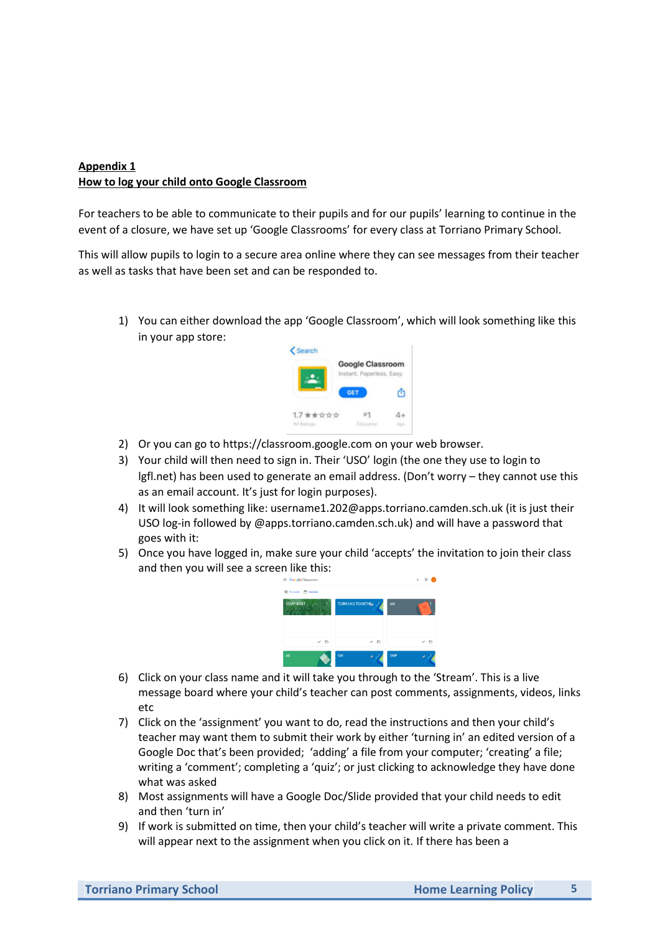### **Appendix 1 How to log your child onto Google Classroom**

For teachers to be able to communicate to their pupils and for our pupils' learning to continue in the event of a closure, we have set up 'Google Classrooms' for every class at Torriano Primary School.

This will allow pupils to login to a secure area online where they can see messages from their teacher as well as tasks that have been set and can be responded to.

1) You can either download the app 'Google Classroom', which will look something like this in your app store:



- 2) Or you can go to https://classroom.google.com on your web browser.
- 3) Your child will then need to sign in. Their 'USO' login (the one they use to login to lgfl.net) has been used to generate an email address. (Don't worry – they cannot use this as an email account. It's just for login purposes).
- 4) It will look something like: username1.202@apps.torriano.camden.sch.uk (it is just their USO log-in followed by @apps.torriano.camden.sch.uk) and will have a password that goes with it:
- 5) Once you have logged in, make sure your child 'accepts' the invitation to join their class and then you will see a screen like this:



- 6) Click on your class name and it will take you through to the 'Stream'. This is a live message board where your child's teacher can post comments, assignments, videos, links etc
- 7) Click on the 'assignment' you want to do, read the instructions and then your child's teacher may want them to submit their work by either 'turning in' an edited version of a Google Doc that's been provided; 'adding' a file from your computer; 'creating' a file; writing a 'comment'; completing a 'quiz'; or just clicking to acknowledge they have done what was asked
- 8) Most assignments will have a Google Doc/Slide provided that your child needs to edit and then 'turn in'
- 9) If work is submitted on time, then your child's teacher will write a private comment. This will appear next to the assignment when you click on it. If there has been a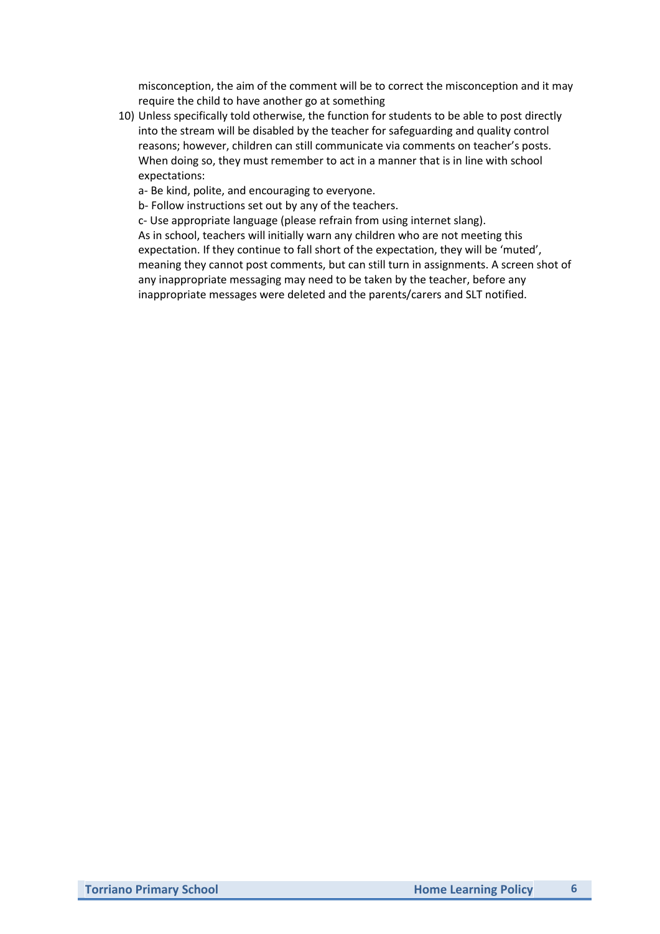misconception, the aim of the comment will be to correct the misconception and it may require the child to have another go at something

10) Unless specifically told otherwise, the function for students to be able to post directly into the stream will be disabled by the teacher for safeguarding and quality control reasons; however, children can still communicate via comments on teacher's posts. When doing so, they must remember to act in a manner that is in line with school expectations:

a- Be kind, polite, and encouraging to everyone.

b- Follow instructions set out by any of the teachers.

c- Use appropriate language (please refrain from using internet slang). As in school, teachers will initially warn any children who are not meeting this expectation. If they continue to fall short of the expectation, they will be 'muted', meaning they cannot post comments, but can still turn in assignments. A screen shot of any inappropriate messaging may need to be taken by the teacher, before any inappropriate messages were deleted and the parents/carers and SLT notified.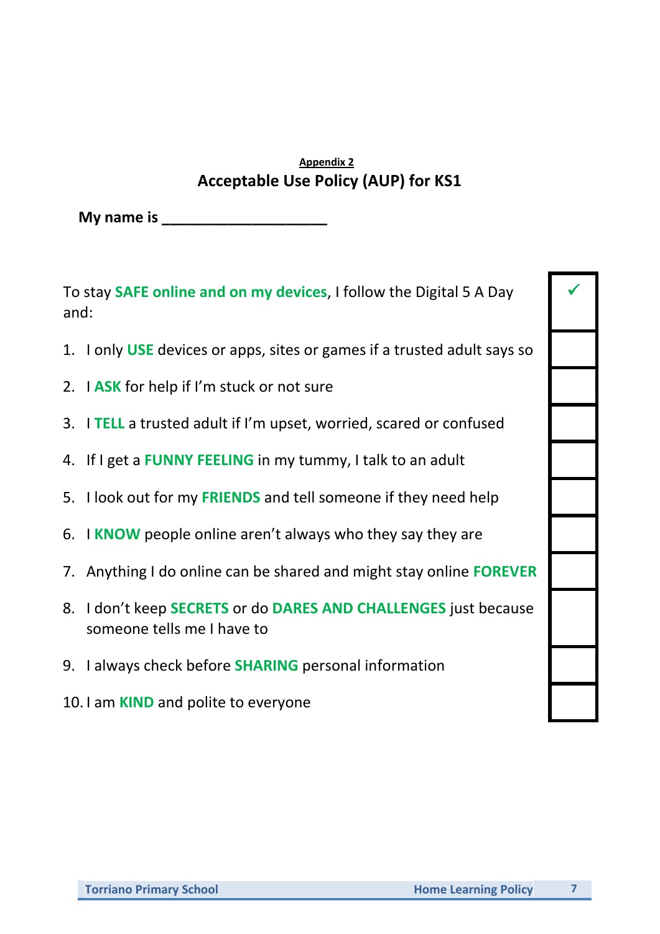# **Appendix 2 Acceptable Use Policy (AUP) for KS1**

**My name is \_\_\_\_\_\_\_\_\_\_\_\_\_\_\_\_\_\_\_\_**

To stay **SAFE online and on my devices**, I follow the Digital 5 A Day and:

- 1. I only **USE** devices or apps, sites or games if a trusted adult says so
- 2. I **ASK** for help if I'm stuck or not sure
- 3. I **TELL** a trusted adult if I'm upset, worried, scared or confused
- 4. If I get a **FUNNY FEELING** in my tummy, I talk to an adult
- 5. I look out for my **FRIENDS** and tell someone if they need help
- 6. I **KNOW** people online aren't always who they say they are
- 7. Anything I do online can be shared and might stay online **FOREVER**
- 8. I don't keep **SECRETS** or do **DARES AND CHALLENGES** just because someone tells me I have to
- 9. I always check before **SHARING** personal information
- 10. I am **KIND** and polite to everyone

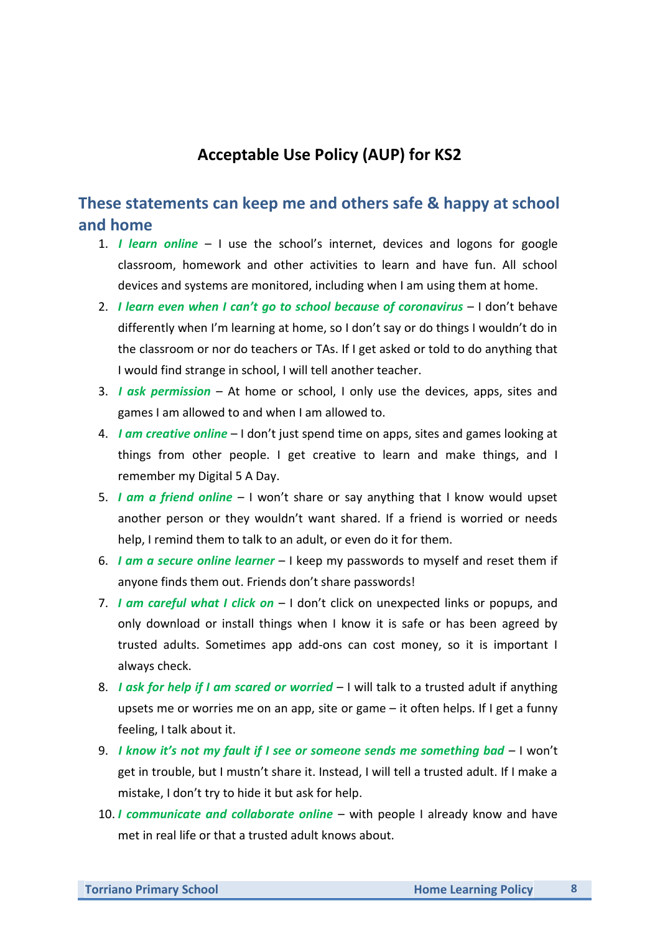# **Acceptable Use Policy (AUP) for KS2**

# **These statements can keep me and others safe & happy at school and home**

- 1. *I learn online*  I use the school's internet, devices and logons for google classroom, homework and other activities to learn and have fun. All school devices and systems are monitored, including when I am using them at home.
- 2. *I learn even when I can't go to school because of coronavirus* I don't behave differently when I'm learning at home, so I don't say or do things I wouldn't do in the classroom or nor do teachers or TAs. If I get asked or told to do anything that I would find strange in school, I will tell another teacher.
- 3. *I ask permission*  At home or school, I only use the devices, apps, sites and games I am allowed to and when I am allowed to.
- 4. *I am creative online* I don't just spend time on apps, sites and games looking at things from other people. I get creative to learn and make things, and I remember my Digital 5 A Day.
- 5. *I am a friend online*  I won't share or say anything that I know would upset another person or they wouldn't want shared. If a friend is worried or needs help, I remind them to talk to an adult, or even do it for them.
- 6. *I am a secure online learner* I keep my passwords to myself and reset them if anyone finds them out. Friends don't share passwords!
- 7. *I am careful what I click on*  I don't click on unexpected links or popups, and only download or install things when I know it is safe or has been agreed by trusted adults. Sometimes app add-ons can cost money, so it is important I always check.
- 8. *I ask for help if I am scared or worried*  I will talk to a trusted adult if anything upsets me or worries me on an app, site or game – it often helps. If I get a funny feeling, I talk about it.
- 9. *I know it's not my fault if I see or someone sends me something bad* I won't get in trouble, but I mustn't share it. Instead, I will tell a trusted adult. If I make a mistake, I don't try to hide it but ask for help.
- 10. *I communicate and collaborate online* with people I already know and have met in real life or that a trusted adult knows about.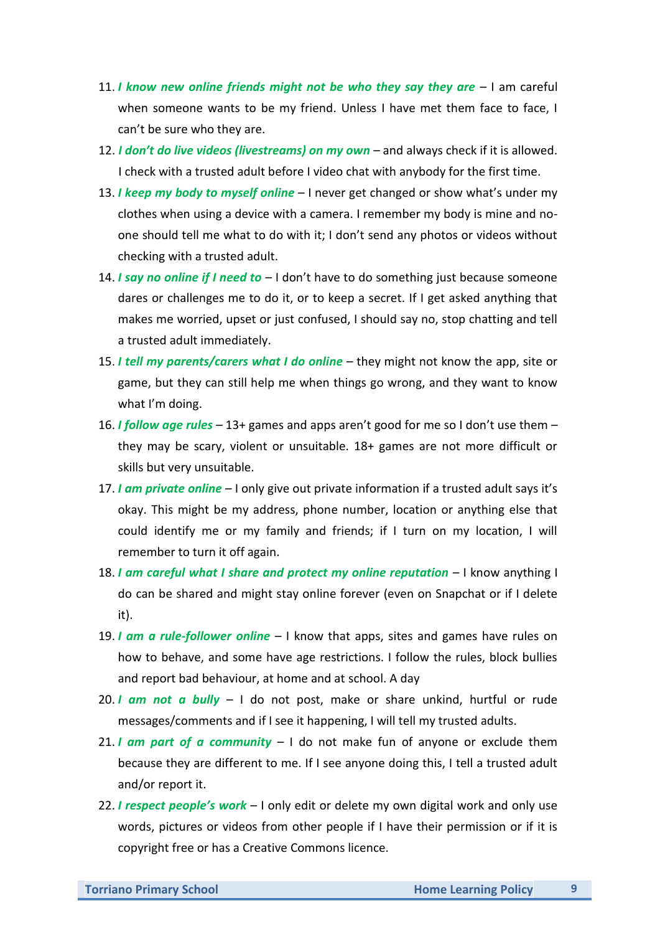- 11. *I know new online friends might not be who they say they are*  I am careful when someone wants to be my friend. Unless I have met them face to face, I can't be sure who they are.
- 12. *I don't do live videos (livestreams) on my own*  and always check if it is allowed. I check with a trusted adult before I video chat with anybody for the first time.
- 13. *I keep my body to myself online*  I never get changed or show what's under my clothes when using a device with a camera. I remember my body is mine and noone should tell me what to do with it; I don't send any photos or videos without checking with a trusted adult.
- 14. *I say no online if I need to*  I don't have to do something just because someone dares or challenges me to do it, or to keep a secret. If I get asked anything that makes me worried, upset or just confused, I should say no, stop chatting and tell a trusted adult immediately.
- 15. *I tell my parents/carers what I do online*  they might not know the app, site or game, but they can still help me when things go wrong, and they want to know what I'm doing.
- 16. *I follow age rules*  13+ games and apps aren't good for me so I don't use them they may be scary, violent or unsuitable. 18+ games are not more difficult or skills but very unsuitable.
- 17. *I am private online* I only give out private information if a trusted adult says it's okay. This might be my address, phone number, location or anything else that could identify me or my family and friends; if I turn on my location, I will remember to turn it off again.
- 18. *I am careful what I share and protect my online reputation* I know anything I do can be shared and might stay online forever (even on Snapchat or if I delete it).
- 19. *I am a rule-follower online* I know that apps, sites and games have rules on how to behave, and some have age restrictions. I follow the rules, block bullies and report bad behaviour, at home and at school. A day
- 20. *I am not a bully*  I do not post, make or share unkind, hurtful or rude messages/comments and if I see it happening, I will tell my trusted adults.
- 21. *I am part of a community*  I do not make fun of anyone or exclude them because they are different to me. If I see anyone doing this, I tell a trusted adult and/or report it.
- 22. *I respect people's work*  I only edit or delete my own digital work and only use words, pictures or videos from other people if I have their permission or if it is copyright free or has a Creative Commons licence.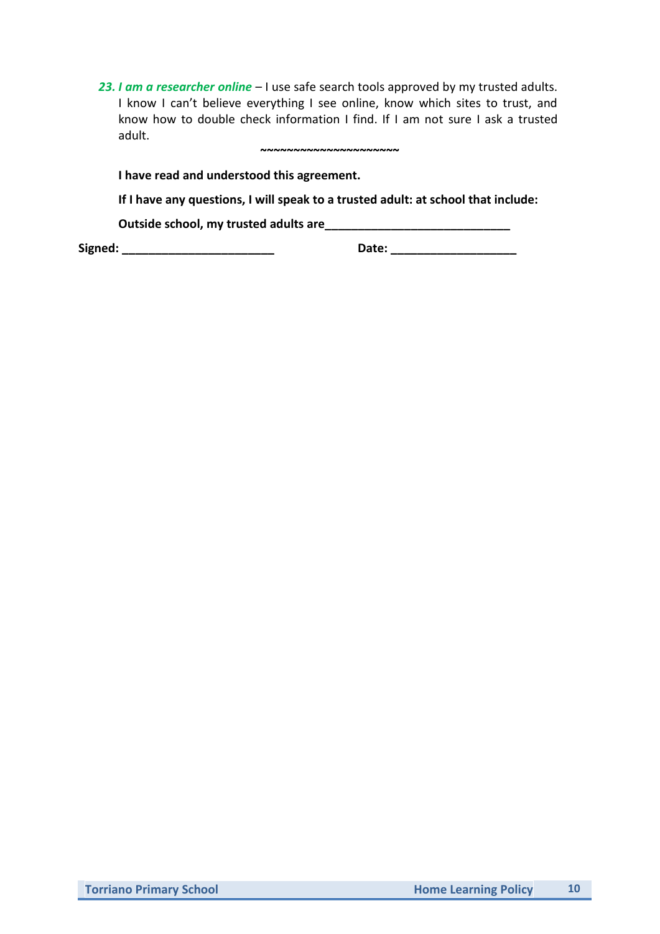*23. I am a researcher online* – I use safe search tools approved by my trusted adults. I know I can't believe everything I see online, know which sites to trust, and know how to double check information I find. If I am not sure I ask a trusted adult. **~~~~~~~~~~~~~~~~~~~~~**

**I have read and understood this agreement.**

**If I have any questions, I will speak to a trusted adult: at school that include:**

**Outside school, my trusted adults are\_\_\_\_\_\_\_\_\_\_\_\_\_\_\_\_\_\_\_\_\_\_\_\_\_\_\_\_**

**Signed: \_\_\_\_\_\_\_\_\_\_\_\_\_\_\_\_\_\_\_\_\_\_\_ Date: \_\_\_\_\_\_\_\_\_\_\_\_\_\_\_\_\_\_\_**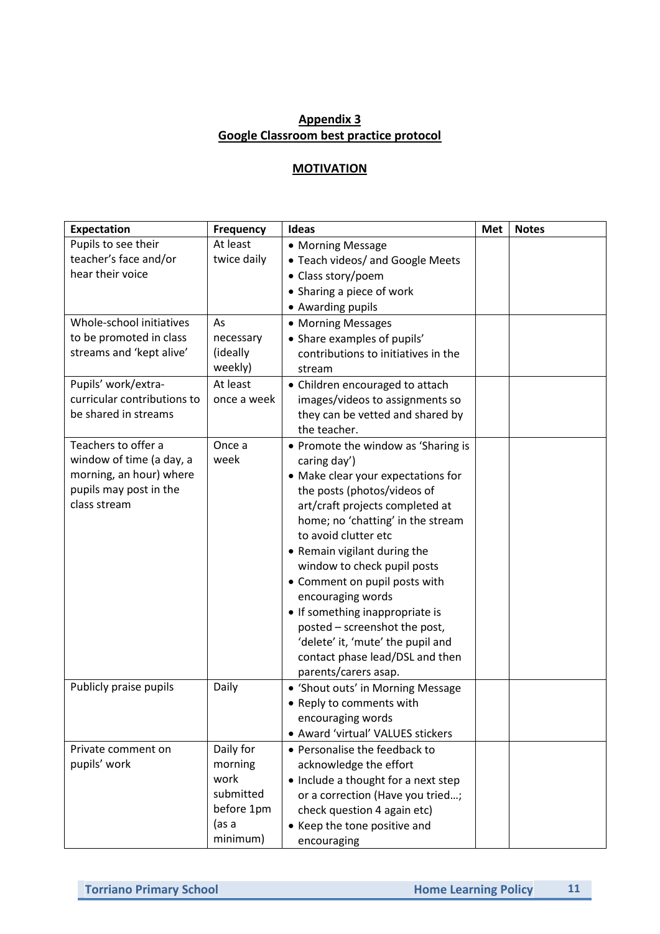## **Appendix 3 Google Classroom best practice protocol**

### **MOTIVATION**

| <b>Expectation</b>                                                                                                   | <b>Frequency</b>                                                             | Ideas                                                                                                                                                                                                                                                                                                                                                                                                                                                                                                             | Met | <b>Notes</b> |
|----------------------------------------------------------------------------------------------------------------------|------------------------------------------------------------------------------|-------------------------------------------------------------------------------------------------------------------------------------------------------------------------------------------------------------------------------------------------------------------------------------------------------------------------------------------------------------------------------------------------------------------------------------------------------------------------------------------------------------------|-----|--------------|
| Pupils to see their<br>teacher's face and/or<br>hear their voice                                                     | At least<br>twice daily                                                      | • Morning Message<br>• Teach videos/ and Google Meets<br>• Class story/poem<br>• Sharing a piece of work<br>• Awarding pupils                                                                                                                                                                                                                                                                                                                                                                                     |     |              |
| Whole-school initiatives<br>to be promoted in class<br>streams and 'kept alive'                                      | As<br>necessary<br>(ideally<br>weekly)                                       | • Morning Messages<br>• Share examples of pupils'<br>contributions to initiatives in the<br>stream                                                                                                                                                                                                                                                                                                                                                                                                                |     |              |
| Pupils' work/extra-<br>curricular contributions to<br>be shared in streams                                           | At least<br>once a week                                                      | • Children encouraged to attach<br>images/videos to assignments so<br>they can be vetted and shared by<br>the teacher.                                                                                                                                                                                                                                                                                                                                                                                            |     |              |
| Teachers to offer a<br>window of time (a day, a<br>morning, an hour) where<br>pupils may post in the<br>class stream | Once a<br>week                                                               | • Promote the window as 'Sharing is<br>caring day')<br>• Make clear your expectations for<br>the posts (photos/videos of<br>art/craft projects completed at<br>home; no 'chatting' in the stream<br>to avoid clutter etc<br>• Remain vigilant during the<br>window to check pupil posts<br>• Comment on pupil posts with<br>encouraging words<br>• If something inappropriate is<br>posted - screenshot the post,<br>'delete' it, 'mute' the pupil and<br>contact phase lead/DSL and then<br>parents/carers asap. |     |              |
| Publicly praise pupils                                                                                               | Daily                                                                        | • 'Shout outs' in Morning Message<br>• Reply to comments with<br>encouraging words<br>• Award 'virtual' VALUES stickers                                                                                                                                                                                                                                                                                                                                                                                           |     |              |
| Private comment on<br>pupils' work                                                                                   | Daily for<br>morning<br>work<br>submitted<br>before 1pm<br>(as a<br>minimum) | • Personalise the feedback to<br>acknowledge the effort<br>• Include a thought for a next step<br>or a correction (Have you tried;<br>check question 4 again etc)<br>• Keep the tone positive and<br>encouraging                                                                                                                                                                                                                                                                                                  |     |              |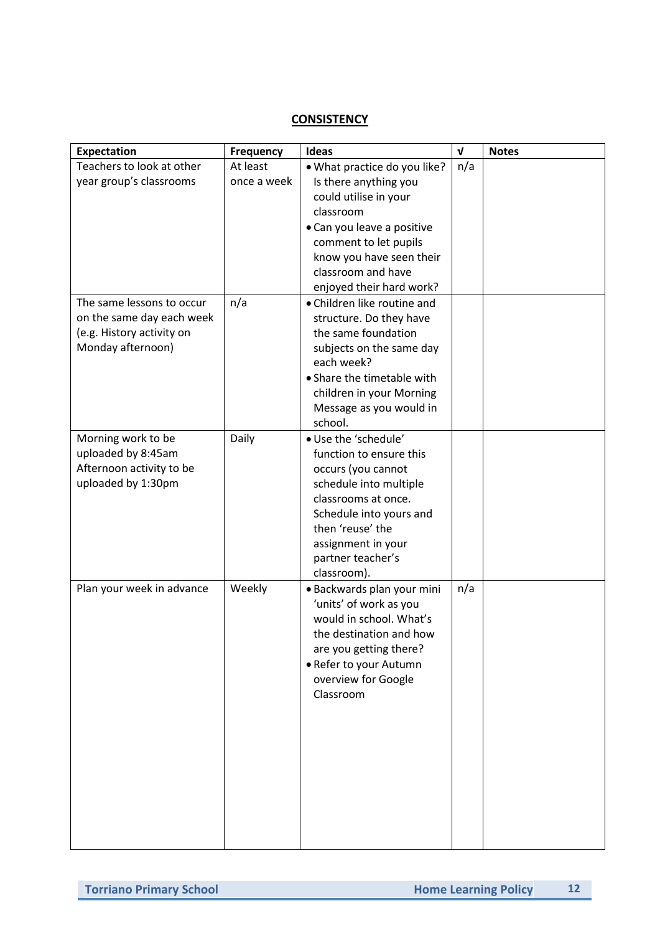### **CONSISTENCY**

| <b>Expectation</b>                             | Frequency   | Ideas                                  | $\mathbf v$ | <b>Notes</b> |
|------------------------------------------------|-------------|----------------------------------------|-------------|--------------|
| Teachers to look at other                      | At least    | . What practice do you like?           | n/a         |              |
| year group's classrooms                        | once a week | Is there anything you                  |             |              |
|                                                |             | could utilise in your                  |             |              |
|                                                |             | classroom                              |             |              |
|                                                |             | · Can you leave a positive             |             |              |
|                                                |             | comment to let pupils                  |             |              |
|                                                |             | know you have seen their               |             |              |
|                                                |             | classroom and have                     |             |              |
|                                                |             | enjoyed their hard work?               |             |              |
| The same lessons to occur                      | n/a         | • Children like routine and            |             |              |
| on the same day each week                      |             | structure. Do they have                |             |              |
| (e.g. History activity on<br>Monday afternoon) |             | the same foundation                    |             |              |
|                                                |             | subjects on the same day<br>each week? |             |              |
|                                                |             | • Share the timetable with             |             |              |
|                                                |             | children in your Morning               |             |              |
|                                                |             | Message as you would in                |             |              |
|                                                |             | school.                                |             |              |
| Morning work to be                             | Daily       | · Use the 'schedule'                   |             |              |
| uploaded by 8:45am                             |             | function to ensure this                |             |              |
| Afternoon activity to be                       |             | occurs (you cannot                     |             |              |
| uploaded by 1:30pm                             |             | schedule into multiple                 |             |              |
|                                                |             | classrooms at once.                    |             |              |
|                                                |             | Schedule into yours and                |             |              |
|                                                |             | then 'reuse' the                       |             |              |
|                                                |             | assignment in your                     |             |              |
|                                                |             | partner teacher's                      |             |              |
|                                                |             | classroom).                            |             |              |
| Plan your week in advance                      | Weekly      | · Backwards plan your mini             | n/a         |              |
|                                                |             | 'units' of work as you                 |             |              |
|                                                |             | would in school. What's                |             |              |
|                                                |             | the destination and how                |             |              |
|                                                |             | are you getting there?                 |             |              |
|                                                |             | • Refer to your Autumn                 |             |              |
|                                                |             | overview for Google                    |             |              |
|                                                |             | Classroom                              |             |              |
|                                                |             |                                        |             |              |
|                                                |             |                                        |             |              |
|                                                |             |                                        |             |              |
|                                                |             |                                        |             |              |
|                                                |             |                                        |             |              |
|                                                |             |                                        |             |              |
|                                                |             |                                        |             |              |
|                                                |             |                                        |             |              |
|                                                |             |                                        |             |              |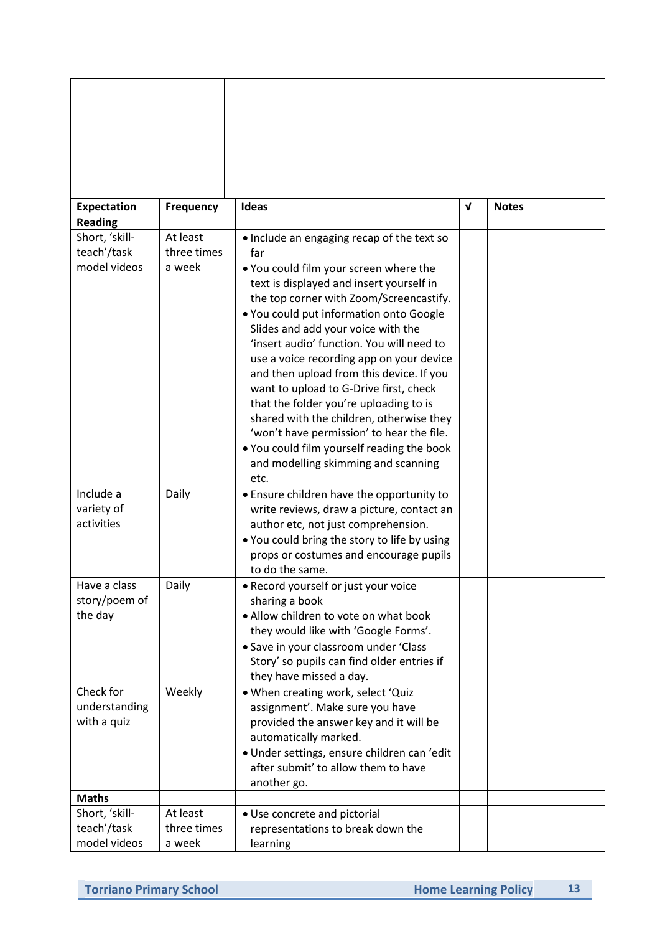| Expectation    | <b>Frequency</b> | Ideas                                                                              | $\mathbf{v}$ | <b>Notes</b> |
|----------------|------------------|------------------------------------------------------------------------------------|--------------|--------------|
| <b>Reading</b> |                  |                                                                                    |              |              |
| Short, 'skill- | At least         | • Include an engaging recap of the text so                                         |              |              |
| teach'/task    | three times      | far                                                                                |              |              |
| model videos   | a week           | . You could film your screen where the                                             |              |              |
|                |                  | text is displayed and insert yourself in                                           |              |              |
|                |                  | the top corner with Zoom/Screencastify.                                            |              |              |
|                |                  | . You could put information onto Google                                            |              |              |
|                |                  | Slides and add your voice with the                                                 |              |              |
|                |                  | 'insert audio' function. You will need to                                          |              |              |
|                |                  | use a voice recording app on your device                                           |              |              |
|                |                  | and then upload from this device. If you<br>want to upload to G-Drive first, check |              |              |
|                |                  | that the folder you're uploading to is                                             |              |              |
|                |                  | shared with the children, otherwise they                                           |              |              |
|                |                  | 'won't have permission' to hear the file.                                          |              |              |
|                |                  | . You could film yourself reading the book                                         |              |              |
|                |                  | and modelling skimming and scanning                                                |              |              |
|                |                  | etc.                                                                               |              |              |
| Include a      | Daily            | • Ensure children have the opportunity to                                          |              |              |
| variety of     |                  | write reviews, draw a picture, contact an                                          |              |              |
| activities     |                  | author etc, not just comprehension.                                                |              |              |
|                |                  | . You could bring the story to life by using                                       |              |              |
|                |                  | props or costumes and encourage pupils<br>to do the same.                          |              |              |
| Have a class   | Daily            | • Record yourself or just your voice                                               |              |              |
| story/poem of  |                  | sharing a book                                                                     |              |              |
| the day        |                  | • Allow children to vote on what book                                              |              |              |
|                |                  | they would like with 'Google Forms'.                                               |              |              |
|                |                  | • Save in your classroom under 'Class                                              |              |              |
|                |                  | Story' so pupils can find older entries if                                         |              |              |
|                |                  | they have missed a day.                                                            |              |              |
| Check for      | Weekly           | . When creating work, select 'Quiz                                                 |              |              |
| understanding  |                  | assignment'. Make sure you have                                                    |              |              |
| with a quiz    |                  | provided the answer key and it will be<br>automatically marked.                    |              |              |
|                |                  | · Under settings, ensure children can 'edit                                        |              |              |
|                |                  | after submit' to allow them to have                                                |              |              |
|                |                  | another go.                                                                        |              |              |
| <b>Maths</b>   |                  |                                                                                    |              |              |
| Short, 'skill- | At least         | • Use concrete and pictorial                                                       |              |              |
| teach'/task    | three times      | representations to break down the                                                  |              |              |
| model videos   | a week           | learning                                                                           |              |              |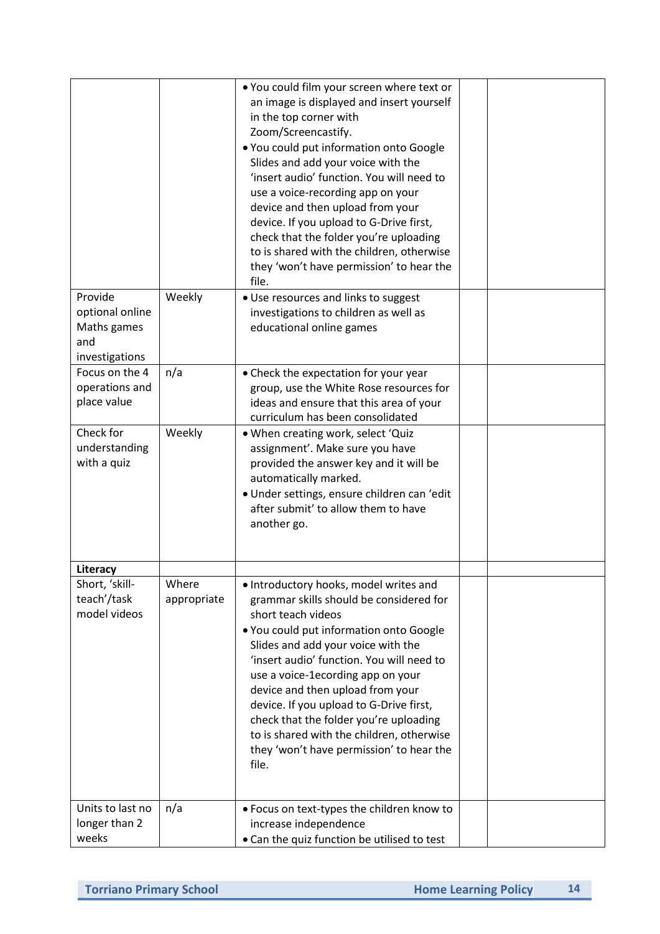| Provide<br>optional online<br>Maths games<br>and | Weekly               | . You could film your screen where text or<br>an image is displayed and insert yourself<br>in the top corner with<br>Zoom/Screencastify.<br>. You could put information onto Google<br>Slides and add your voice with the<br>'insert audio' function. You will need to<br>use a voice-recording app on your<br>device and then upload from your<br>device. If you upload to G-Drive first,<br>check that the folder you're uploading<br>to is shared with the children, otherwise<br>they 'won't have permission' to hear the<br>file.<br>• Use resources and links to suggest<br>investigations to children as well as<br>educational online games |  |
|--------------------------------------------------|----------------------|-----------------------------------------------------------------------------------------------------------------------------------------------------------------------------------------------------------------------------------------------------------------------------------------------------------------------------------------------------------------------------------------------------------------------------------------------------------------------------------------------------------------------------------------------------------------------------------------------------------------------------------------------------|--|
| investigations                                   |                      |                                                                                                                                                                                                                                                                                                                                                                                                                                                                                                                                                                                                                                                     |  |
| Focus on the 4<br>operations and<br>place value  | n/a                  | • Check the expectation for your year<br>group, use the White Rose resources for<br>ideas and ensure that this area of your<br>curriculum has been consolidated                                                                                                                                                                                                                                                                                                                                                                                                                                                                                     |  |
| Check for<br>understanding<br>with a quiz        | Weekly               | . When creating work, select 'Quiz<br>assignment'. Make sure you have<br>provided the answer key and it will be<br>automatically marked.<br>· Under settings, ensure children can 'edit<br>after submit' to allow them to have<br>another go.                                                                                                                                                                                                                                                                                                                                                                                                       |  |
| Literacy                                         |                      |                                                                                                                                                                                                                                                                                                                                                                                                                                                                                                                                                                                                                                                     |  |
| Short, 'skill-<br>teach'/task<br>model videos    | Where<br>appropriate | . Introductory hooks, model writes and<br>grammar skills should be considered for<br>short teach videos<br>. You could put information onto Google<br>Slides and add your voice with the<br>'insert audio' function. You will need to<br>use a voice-1ecording app on your<br>device and then upload from your<br>device. If you upload to G-Drive first,<br>check that the folder you're uploading<br>to is shared with the children, otherwise<br>they 'won't have permission' to hear the<br>file.                                                                                                                                               |  |
| Units to last no                                 | n/a                  | • Focus on text-types the children know to                                                                                                                                                                                                                                                                                                                                                                                                                                                                                                                                                                                                          |  |
| longer than 2                                    |                      | increase independence                                                                                                                                                                                                                                                                                                                                                                                                                                                                                                                                                                                                                               |  |
| weeks                                            |                      | • Can the quiz function be utilised to test                                                                                                                                                                                                                                                                                                                                                                                                                                                                                                                                                                                                         |  |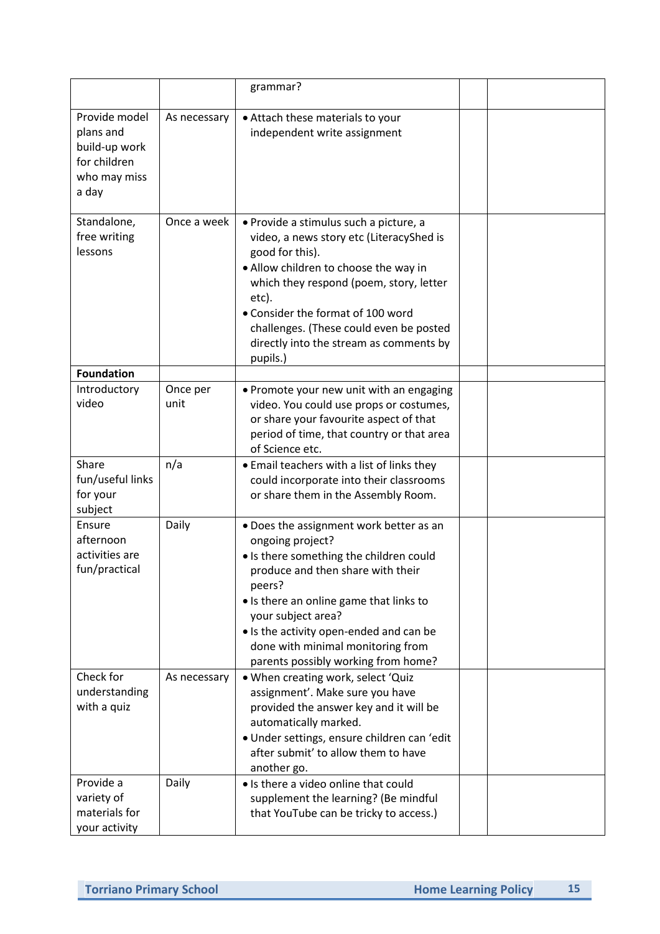|                                                                                      |                  | grammar?                                                                                                                                                                                                                                                                                                                                      |  |
|--------------------------------------------------------------------------------------|------------------|-----------------------------------------------------------------------------------------------------------------------------------------------------------------------------------------------------------------------------------------------------------------------------------------------------------------------------------------------|--|
| Provide model<br>plans and<br>build-up work<br>for children<br>who may miss<br>a day | As necessary     | • Attach these materials to your<br>independent write assignment                                                                                                                                                                                                                                                                              |  |
| Standalone,<br>free writing<br>lessons                                               | Once a week      | · Provide a stimulus such a picture, a<br>video, a news story etc (LiteracyShed is<br>good for this).<br>. Allow children to choose the way in<br>which they respond (poem, story, letter<br>etc).<br>• Consider the format of 100 word<br>challenges. (These could even be posted<br>directly into the stream as comments by<br>pupils.)     |  |
| <b>Foundation</b>                                                                    |                  |                                                                                                                                                                                                                                                                                                                                               |  |
| Introductory<br>video                                                                | Once per<br>unit | • Promote your new unit with an engaging<br>video. You could use props or costumes,<br>or share your favourite aspect of that<br>period of time, that country or that area<br>of Science etc.                                                                                                                                                 |  |
| Share<br>fun/useful links<br>for your<br>subject                                     | n/a              | • Email teachers with a list of links they<br>could incorporate into their classrooms<br>or share them in the Assembly Room.                                                                                                                                                                                                                  |  |
| Ensure<br>afternoon<br>activities are<br>fun/practical                               | Daily            | . Does the assignment work better as an<br>ongoing project?<br>. Is there something the children could<br>produce and then share with their<br>peers?<br>• Is there an online game that links to<br>your subject area?<br>• Is the activity open-ended and can be<br>done with minimal monitoring from<br>parents possibly working from home? |  |
| Check for<br>understanding<br>with a quiz                                            | As necessary     | . When creating work, select 'Quiz<br>assignment'. Make sure you have<br>provided the answer key and it will be<br>automatically marked.<br>· Under settings, ensure children can 'edit<br>after submit' to allow them to have<br>another go.                                                                                                 |  |
| Provide a<br>variety of<br>materials for<br>your activity                            | Daily            | • Is there a video online that could<br>supplement the learning? (Be mindful<br>that YouTube can be tricky to access.)                                                                                                                                                                                                                        |  |